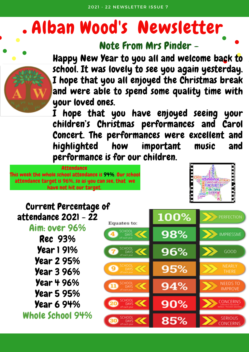# Alban Wood's Newsletter





Happy New Year to you all and welcome back to school. It was lovely to see you again yesterday. I hope that you all enjoyed the Christmas break and were able to spend some quality time with your loved ones.

hope that you have enjoyed seeing your children's Christmas performances and Carol Concert. The performances were excellent and highlighted how important music and performance is for our children.

**Attendance** This week the whole school attendance is 94%. Our school attendance target is 96%, so as you can see, that we have not hit our target.



#### Current Percentage of attendance 2021 - 22

Aim: over 96%

Rec 93% Year 1 91% Year 2 95% Year 3 96% Year 4 96% Year 5 95% Year 6 94%

Whole School 94%

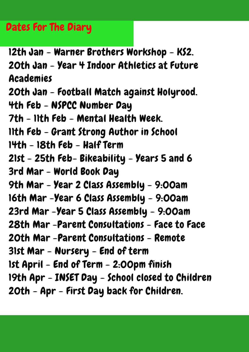### Dates For The Diary

12th Jan - Warner Brothers Workshop - KS2. 20th Jan - Year 4 Indoor Athletics at Future Academies 20th Jan - Football Match against Holyrood. 4th Feb - NSPCC Number Day 7th - 11th Feb - Mental Health Week. 11th Feb - Grant Strong Author in School 14th - 18th Feb - Half Term 21st - 25th Feb- Bikeability - Years 5 and 6 3rd Mar - World Book Day 9th Mar - Year 2 Class Assembly - 9:00am 16th Mar -Year 6 Class Assembly - 9:00am 23rd Mar -Year 5 Class Assembly - 9:00am 28th Mar -Parent Consultations - Face to Face 20th Mar -Parent Consultations - Remote 31st Mar - Nursery - End of term 1st April - End of Term - 2:00pm finish 19th Apr - INSET Day - School closed to Children 20th - Apr - First Day back for Children.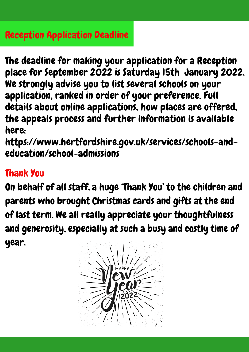The deadline for making your application for a Reception place for September 2022 is Saturday 15th January 2022. We strongly advise you to list several schools on your application, ranked in order of your preference. Full details about online applications, how places are offered, the appeals process and further information is available here:

https://www.hertfordshire.gov.uk/services/schools-andeducation/school-admissions

#### Thank You

On behalf of all staff, a huge 'Thank You' to the children and parents who brought Christmas cards and gifts at the end of last term. We all really appreciate your thoughtfulness and generosity, especially at such a busy and costly time of year.

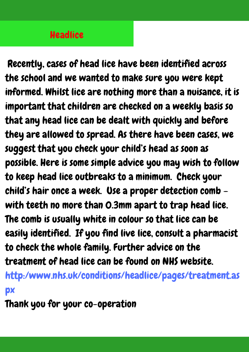#### **Headlice**

Recently, cases of head lice have been identified across the school and we wanted to make sure you were kept informed. Whilst lice are nothing more than a nuisance, it is important that children are checked on a weekly basis so that any head lice can be dealt with quickly and before they are allowed to spread. As there have been cases, we suggest that you check your child's head as soon as possible. Here is some simple advice you may wish to follow to keep head lice outbreaks to a minimum. Check your child's hair once a week. Use a proper detection comb – with teeth no more than 0.3mm apart to trap head lice. The comb is usually white in colour so that lice can be easily identified. If you find live lice, consult a pharmacist to check the whole family. Further advice on the treatment of head lice can be found on NHS website.

http:/www.nhs.uk/conditions/headlice/pages/treatment.as px

Thank you for your co-operation